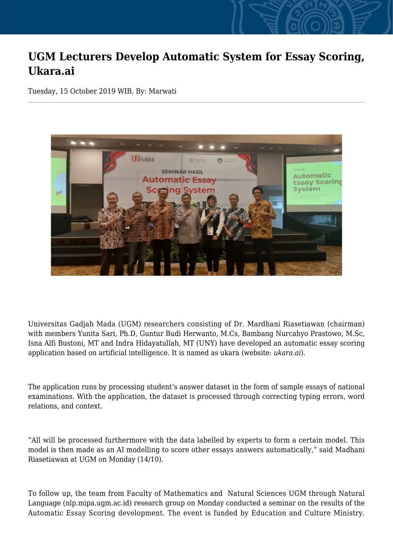## **UGM Lecturers Develop Automatic System for Essay Scoring, Ukara.ai**

Tuesday, 15 October 2019 WIB, By: Marwati



Universitas Gadjah Mada (UGM) researchers consisting of Dr. Mardhani Riasetiawan (chairman) with members Yunita Sari, Ph.D, Guntur Budi Herwanto, M.Cs, Bambang Nurcahyo Prastowo, M.Sc, Isna Alfi Bustoni, MT and Indra Hidayatullah, MT (UNY) have developed an automatic essay scoring application based on artificial intelligence. It is named as ukara (website: *ukara.ai*).

The application runs by processing student's answer dataset in the form of sample essays of national examinations. With the application, the dataset is processed through correcting typing errors, word relations, and context.

"All will be processed furthermore with the data labelled by experts to form a certain model. This model is then made as an AI modelling to score other essays answers automatically," said Madhani Riasetiawan at UGM on Monday (14/10).

To follow up, the team from Faculty of Mathematics and Natural Sciences UGM through Natural Language (nlp.mipa.ugm.ac.id) research group on Monday conducted a seminar on the results of the Automatic Essay Scoring development. The event is funded by Education and Culture Ministry.